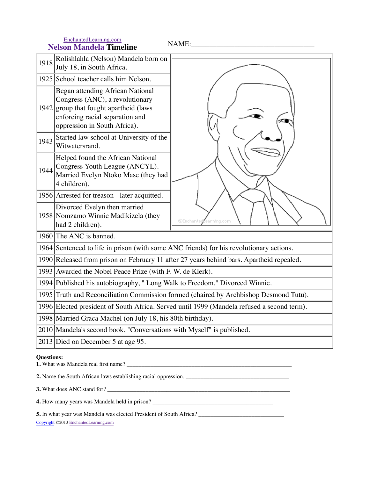EnchantedLearning.com<br> **Nelson Mandela Timeline** 

**Nelson Mandela Timeline** NAME:\_\_\_\_\_\_\_\_\_\_\_\_\_\_\_\_\_\_\_\_\_\_\_\_\_\_\_\_\_\_\_\_\_\_

| 1918              | Rolishlahla (Nelson) Mandela born on<br>July 18, in South Africa.                                                                                                           |                                 |  |
|-------------------|-----------------------------------------------------------------------------------------------------------------------------------------------------------------------------|---------------------------------|--|
|                   | 1925 School teacher calls him Nelson.                                                                                                                                       |                                 |  |
| 1942              | Began attending African National<br>Congress (ANC), a revolutionary<br>group that fought apartheid (laws<br>enforcing racial separation and<br>oppression in South Africa). |                                 |  |
| 1943              | Started law school at University of the<br>Witwatersrand.                                                                                                                   |                                 |  |
| 1944              | Helped found the African National<br>Congress Youth League (ANCYL).<br>Married Evelyn Ntoko Mase (they had<br>4 children).                                                  |                                 |  |
|                   | 1956 Arrested for treason - later acquitted.                                                                                                                                |                                 |  |
|                   | Divorced Evelyn then married<br>1958 Nomzamo Winnie Madikizela (they<br>had 2 children).                                                                                    | <b>©Enchanted</b><br>arning.com |  |
|                   | 1960 The ANC is banned.                                                                                                                                                     |                                 |  |
|                   | 1964 Sentenced to life in prison (with some ANC friends) for his revolutionary actions.                                                                                     |                                 |  |
|                   | 1990 Released from prison on February 11 after 27 years behind bars. Apartheid repealed.                                                                                    |                                 |  |
|                   | 1993 Awarded the Nobel Peace Prize (with F. W. de Klerk).                                                                                                                   |                                 |  |
|                   | 1994 Published his autobiography, "Long Walk to Freedom." Divorced Winnie.                                                                                                  |                                 |  |
|                   | 1995 Truth and Reconciliation Commission formed (chaired by Archbishop Desmond Tutu).                                                                                       |                                 |  |
|                   | 1996 Elected president of South Africa. Served until 1999 (Mandela refused a second term).                                                                                  |                                 |  |
|                   | 1998 Married Graca Machel (on July 18, his 80th birthday).                                                                                                                  |                                 |  |
|                   | 2010 Mandela's second book, "Conversations with Myself" is published.                                                                                                       |                                 |  |
|                   | 2013 Died on December 5 at age 95.                                                                                                                                          |                                 |  |
| <b>Questions:</b> |                                                                                                                                                                             |                                 |  |

**1.** What was Mandela real first name? \_\_\_\_\_\_\_\_\_\_\_\_\_\_\_\_\_\_\_\_\_\_\_\_\_\_\_\_\_\_\_\_\_\_\_\_\_\_\_\_\_\_\_\_\_\_\_\_\_\_\_\_\_\_\_\_

**2.** Name the South African laws establishing racial oppression. \_\_\_\_\_\_\_\_\_\_\_\_\_\_\_\_\_\_\_\_\_\_\_\_\_\_\_\_\_\_\_\_\_\_\_

**3.** What does ANC stand for? \_\_\_\_\_\_\_\_\_\_\_\_\_\_\_\_\_\_\_\_\_\_\_\_\_\_\_\_\_\_\_\_\_\_\_\_\_\_\_\_\_\_\_\_\_\_\_\_\_\_\_\_\_\_\_\_\_\_\_\_\_\_

**4.** How many years was Mandela held in prison? \_\_\_\_\_\_\_\_\_\_\_\_\_\_\_\_\_\_\_\_\_\_\_\_\_\_\_\_\_\_\_\_\_\_\_\_\_\_\_\_\_

**5.** In what year was Mandela was elected President of South Africa? \_\_\_\_\_\_\_\_\_\_\_\_\_\_\_\_\_\_\_\_\_\_\_\_\_\_\_\_\_

Copyright ©2013 EnchantedLearning.com